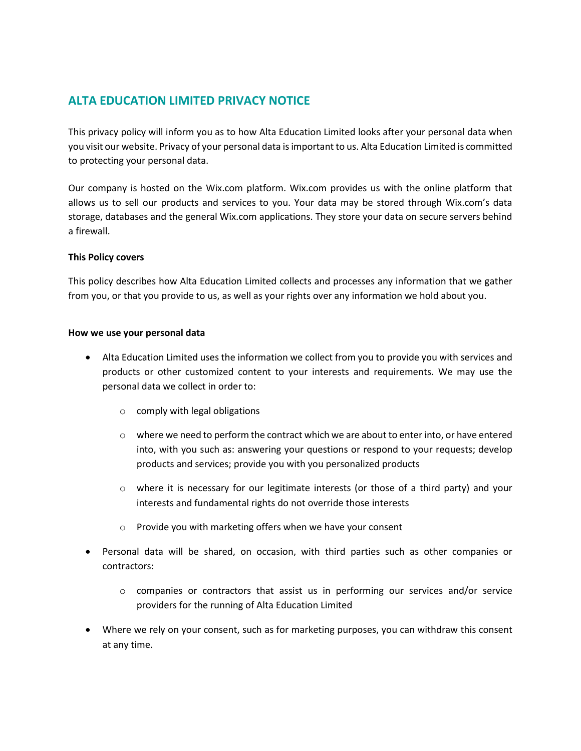# **ALTA EDUCATION LIMITED PRIVACY NOTICE**

This privacy policy will inform you as to how Alta Education Limited looks after your personal data when you visit our website. Privacy of your personal data is important to us. Alta Education Limited is committed to protecting your personal data.

Our company is hosted on the Wix.com platform. Wix.com provides us with the online platform that allows us to sell our products and services to you. Your data may be stored through Wix.com's data storage, databases and the general Wix.com applications. They store your data on secure servers behind a firewall.

### **This Policy covers**

This policy describes how Alta Education Limited collects and processes any information that we gather from you, or that you provide to us, as well as your rights over any information we hold about you.

#### **How we use your personal data**

- Alta Education Limited uses the information we collect from you to provide you with services and products or other customized content to your interests and requirements. We may use the personal data we collect in order to:
	- o comply with legal obligations
	- $\circ$  where we need to perform the contract which we are about to enter into, or have entered into, with you such as: answering your questions or respond to your requests; develop products and services; provide you with you personalized products
	- $\circ$  where it is necessary for our legitimate interests (or those of a third party) and your interests and fundamental rights do not override those interests
	- o Provide you with marketing offers when we have your consent
- Personal data will be shared, on occasion, with third parties such as other companies or contractors:
	- $\circ$  companies or contractors that assist us in performing our services and/or service providers for the running of Alta Education Limited
- Where we rely on your consent, such as for marketing purposes, you can withdraw this consent at any time.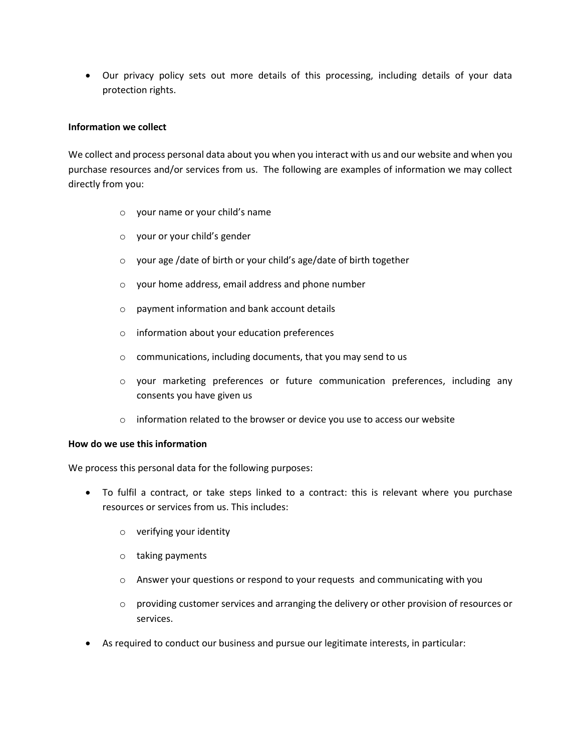• Our privacy policy sets out more details of this processing, including details of your data protection rights.

### **Information we collect**

We collect and process personal data about you when you interact with us and our website and when you purchase resources and/or services from us. The following are examples of information we may collect directly from you:

- o your name or your child's name
- o your or your child's gender
- o your age /date of birth or your child's age/date of birth together
- o your home address, email address and phone number
- o payment information and bank account details
- o information about your education preferences
- o communications, including documents, that you may send to us
- o your marketing preferences or future communication preferences, including any consents you have given us
- $\circ$  information related to the browser or device you use to access our website

### **How do we use this information**

We process this personal data for the following purposes:

- To fulfil a contract, or take steps linked to a contract: this is relevant where you purchase resources or services from us. This includes:
	- o verifying your identity
	- o taking payments
	- o Answer your questions or respond to your requests and communicating with you
	- $\circ$  providing customer services and arranging the delivery or other provision of resources or services.
- As required to conduct our business and pursue our legitimate interests, in particular: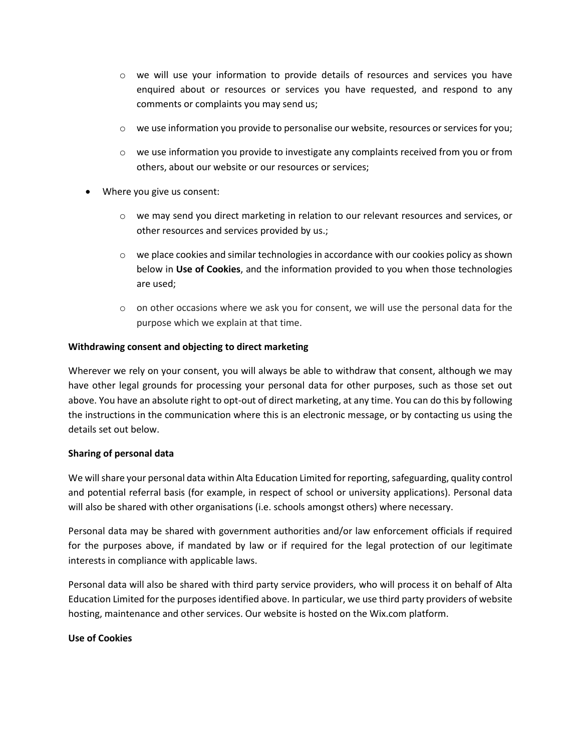- $\circ$  we will use your information to provide details of resources and services you have enquired about or resources or services you have requested, and respond to any comments or complaints you may send us;
- o we use information you provide to personalise our website, resources or services for you;
- $\circ$  we use information you provide to investigate any complaints received from you or from others, about our website or our resources or services;
- Where you give us consent:
	- o we may send you direct marketing in relation to our relevant resources and services, or other resources and services provided by us.;
	- $\circ$  we place cookies and similar technologies in accordance with our cookies policy as shown below in **Use of Cookies**, and the information provided to you when those technologies are used;
	- $\circ$  on other occasions where we ask you for consent, we will use the personal data for the purpose which we explain at that time.

### **Withdrawing consent and objecting to direct marketing**

Wherever we rely on your consent, you will always be able to withdraw that consent, although we may have other legal grounds for processing your personal data for other purposes, such as those set out above. You have an absolute right to opt-out of direct marketing, at any time. You can do this by following the instructions in the communication where this is an electronic message, or by contacting us using the details set out below.

### **Sharing of personal data**

We will share your personal data within Alta Education Limited for reporting, safeguarding, quality control and potential referral basis (for example, in respect of school or university applications). Personal data will also be shared with other organisations (i.e. schools amongst others) where necessary.

Personal data may be shared with government authorities and/or law enforcement officials if required for the purposes above, if mandated by law or if required for the legal protection of our legitimate interests in compliance with applicable laws.

Personal data will also be shared with third party service providers, who will process it on behalf of Alta Education Limited for the purposes identified above. In particular, we use third party providers of website hosting, maintenance and other services. Our website is hosted on the Wix.com platform.

### **Use of Cookies**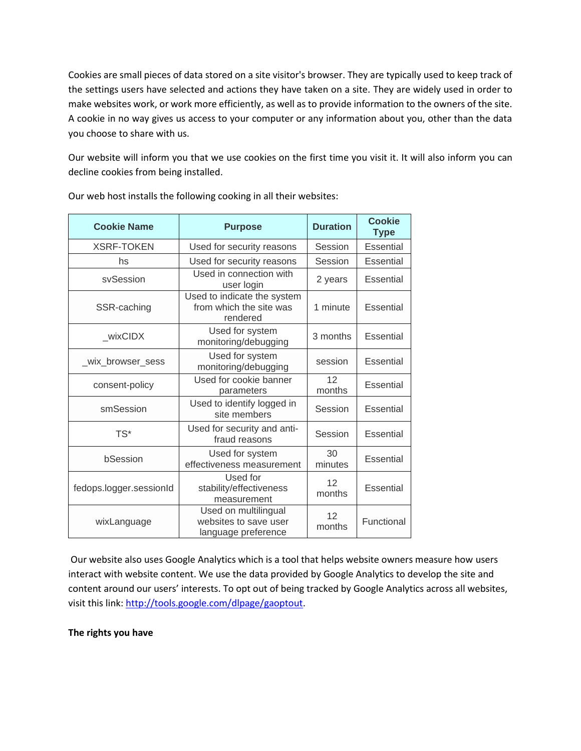Cookies are small pieces of data stored on a site visitor's browser. They are typically used to keep track of the settings users have selected and actions they have taken on a site. They are widely used in order to make websites work, or work more efficiently, as well as to provide information to the owners of the site. A cookie in no way gives us access to your computer or any information about you, other than the data you choose to share with us.

Our website will inform you that we use cookies on the first time you visit it. It will also inform you can decline cookies from being installed.

| <b>Cookie Name</b>      | <b>Purpose</b>                                                       | <b>Duration</b>           | <b>Cookie</b><br><b>Type</b> |
|-------------------------|----------------------------------------------------------------------|---------------------------|------------------------------|
| <b>XSRF-TOKEN</b>       | Used for security reasons                                            | Session                   | <b>Essential</b>             |
| hs                      | Used for security reasons                                            | Session                   | Essential                    |
| svSession               | Used in connection with<br>user login                                | 2 years                   | Essential                    |
| SSR-caching             | Used to indicate the system<br>from which the site was<br>rendered   | 1 minute                  | Essential                    |
| wixCIDX                 | Used for system<br>monitoring/debugging                              | 3 months                  | Essential                    |
| _wix_browser_sess       | Used for system<br>monitoring/debugging                              | session                   | Essential                    |
| consent-policy          | Used for cookie banner<br>parameters                                 | 12<br>months              | Essential                    |
| smSession               | Used to identify logged in<br>site members                           | Session                   | Essential                    |
| $TS^*$                  | Used for security and anti-<br>fraud reasons                         | Session                   | Essential                    |
| bSession                | Used for system<br>effectiveness measurement                         | 30<br>minutes             | <b>Essential</b>             |
| fedops.logger.sessionId | Used for<br>stability/effectiveness<br>measurement                   | 12 <sup>°</sup><br>months | Essential                    |
| wixLanguage             | Used on multilingual<br>websites to save user<br>language preference | 12<br>months              | Functional                   |

Our web host installs the following cooking in all their websites:

Our website also uses Google Analytics which is a tool that helps website owners measure how users interact with website content. We use the data provided by Google Analytics to develop the site and content around our users' interests. To opt out of being tracked by Google Analytics across all websites, visit this link[: http://tools.google.com/dlpage/gaoptout.](http://tools.google.com/dlpage/gaoptout)

**The rights you have**